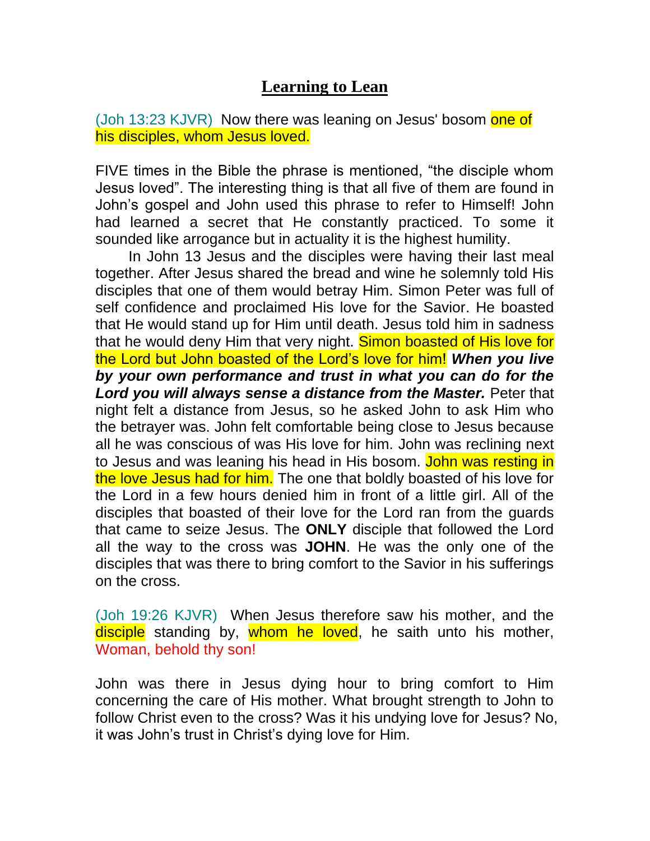## **Learning to Lean**

(Joh 13:23 KJVR) Now there was leaning on Jesus' bosom one of his disciples, whom Jesus loved.

FIVE times in the Bible the phrase is mentioned, "the disciple whom Jesus loved". The interesting thing is that all five of them are found in John's gospel and John used this phrase to refer to Himself! John had learned a secret that He constantly practiced. To some it sounded like arrogance but in actuality it is the highest humility.

 In John 13 Jesus and the disciples were having their last meal together. After Jesus shared the bread and wine he solemnly told His disciples that one of them would betray Him. Simon Peter was full of self confidence and proclaimed His love for the Savior. He boasted that He would stand up for Him until death. Jesus told him in sadness that he would deny Him that very night. Simon boasted of His love for the Lord but John boasted of the Lord's love for him! *When you live by your own performance and trust in what you can do for the Lord you will always sense a distance from the Master.* Peter that night felt a distance from Jesus, so he asked John to ask Him who the betrayer was. John felt comfortable being close to Jesus because all he was conscious of was His love for him. John was reclining next to Jesus and was leaning his head in His bosom. John was resting in the love Jesus had for him. The one that boldly boasted of his love for the Lord in a few hours denied him in front of a little girl. All of the disciples that boasted of their love for the Lord ran from the guards that came to seize Jesus. The **ONLY** disciple that followed the Lord all the way to the cross was **JOHN**. He was the only one of the disciples that was there to bring comfort to the Savior in his sufferings on the cross.

(Joh 19:26 KJVR) When Jesus therefore saw his mother, and the disciple standing by, whom he loved, he saith unto his mother, Woman, behold thy son!

John was there in Jesus dying hour to bring comfort to Him concerning the care of His mother. What brought strength to John to follow Christ even to the cross? Was it his undying love for Jesus? No, it was John's trust in Christ's dying love for Him.